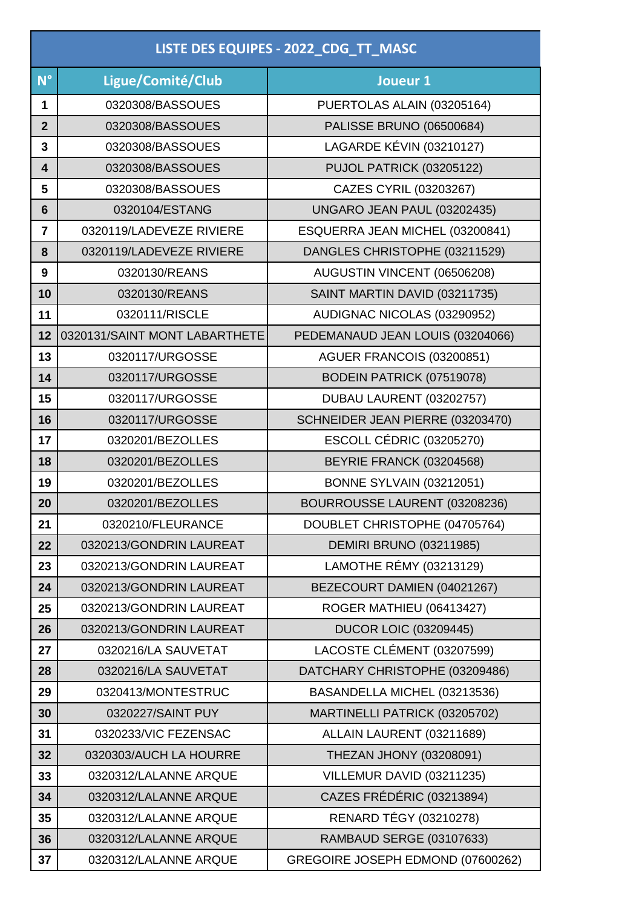| LISTE DES EQUIPES - 2022_CDG_TT_MASC |                               |                                   |
|--------------------------------------|-------------------------------|-----------------------------------|
| $N^{\circ}$                          | Ligue/Comité/Club             | Joueur 1                          |
| 1                                    | 0320308/BASSOUES              | PUERTOLAS ALAIN (03205164)        |
| $\mathbf{2}$                         | 0320308/BASSOUES              | <b>PALISSE BRUNO (06500684)</b>   |
| 3                                    | 0320308/BASSOUES              | LAGARDE KÉVIN (03210127)          |
| 4                                    | 0320308/BASSOUES              | PUJOL PATRICK (03205122)          |
| 5                                    | 0320308/BASSOUES              | CAZES CYRIL (03203267)            |
| $6\phantom{1}6$                      | 0320104/ESTANG                | UNGARO JEAN PAUL (03202435)       |
| $\overline{7}$                       | 0320119/LADEVEZE RIVIERE      | ESQUERRA JEAN MICHEL (03200841)   |
| 8                                    | 0320119/LADEVEZE RIVIERE      | DANGLES CHRISTOPHE (03211529)     |
| 9                                    | 0320130/REANS                 | AUGUSTIN VINCENT (06506208)       |
| 10                                   | 0320130/REANS                 | SAINT MARTIN DAVID (03211735)     |
| 11                                   | 0320111/RISCLE                | AUDIGNAC NICOLAS (03290952)       |
| 12                                   | 0320131/SAINT MONT LABARTHETE | PEDEMANAUD JEAN LOUIS (03204066)  |
| 13                                   | 0320117/URGOSSE               | AGUER FRANCOIS (03200851)         |
| 14                                   | 0320117/URGOSSE               | BODEIN PATRICK (07519078)         |
| 15                                   | 0320117/URGOSSE               | DUBAU LAURENT (03202757)          |
| 16                                   | 0320117/URGOSSE               | SCHNEIDER JEAN PIERRE (03203470)  |
| 17                                   | 0320201/BEZOLLES              | <b>ESCOLL CÉDRIC (03205270)</b>   |
| 18                                   | 0320201/BEZOLLES              | BEYRIE FRANCK (03204568)          |
| 19                                   | 0320201/BEZOLLES              | <b>BONNE SYLVAIN (03212051)</b>   |
| 20                                   | 0320201/BEZOLLES              | BOURROUSSE LAURENT (03208236)     |
| 21                                   | 0320210/FLEURANCE             | DOUBLET CHRISTOPHE (04705764)     |
| 22                                   | 0320213/GONDRIN LAUREAT       | <b>DEMIRI BRUNO (03211985)</b>    |
| 23                                   | 0320213/GONDRIN LAUREAT       | LAMOTHE RÉMY (03213129)           |
| 24                                   | 0320213/GONDRIN LAUREAT       | BEZECOURT DAMIEN (04021267)       |
| 25                                   | 0320213/GONDRIN LAUREAT       | ROGER MATHIEU (06413427)          |
| 26                                   | 0320213/GONDRIN LAUREAT       | <b>DUCOR LOIC (03209445)</b>      |
| 27                                   | 0320216/LA SAUVETAT           | LACOSTE CLÉMENT (03207599)        |
| 28                                   | 0320216/LA SAUVETAT           | DATCHARY CHRISTOPHE (03209486)    |
| 29                                   | 0320413/MONTESTRUC            | BASANDELLA MICHEL (03213536)      |
| 30                                   | 0320227/SAINT PUY             | MARTINELLI PATRICK (03205702)     |
| 31                                   | 0320233/VIC FEZENSAC          | ALLAIN LAURENT (03211689)         |
| 32                                   | 0320303/AUCH LA HOURRE        | THEZAN JHONY (03208091)           |
| 33                                   | 0320312/LALANNE ARQUE         | VILLEMUR DAVID (03211235)         |
| 34                                   | 0320312/LALANNE ARQUE         | CAZES FRÉDÉRIC (03213894)         |
| 35                                   | 0320312/LALANNE ARQUE         | <b>RENARD TÉGY (03210278)</b>     |
| 36                                   | 0320312/LALANNE ARQUE         | <b>RAMBAUD SERGE (03107633)</b>   |
| 37                                   | 0320312/LALANNE ARQUE         | GREGOIRE JOSEPH EDMOND (07600262) |